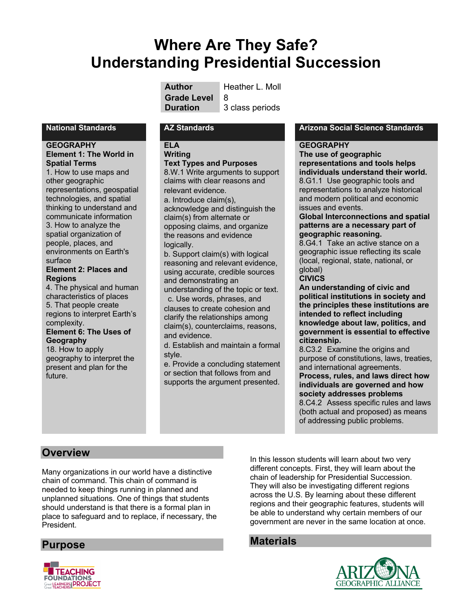# **Where Are They Safe? Understanding Presidential Succession**

| Author             | Heather L. Moll |
|--------------------|-----------------|
| <b>Grade Level</b> | ∣ R             |
| <b>Duration</b>    | 3 class periods |

**her** L. Moll

#### **GEOGRAPHY Element 1: The World in Spatial Terms**

1. How to use maps and other geographic representations, geospatial technologies, and spatial thinking to understand and communicate information 3. How to analyze the spatial organization of people, places, and environments on Earth's surface

#### **Element 2: Places and Regions**

4. The physical and human characteristics of places 5. That people create regions to interpret Earth's complexity. **Element 6: The Uses of Geography** 18. How to apply

geography to interpret the present and plan for the future.

### **ELA**

#### **Writing Text Types and Purposes**

8.W.1 Write arguments to support claims with clear reasons and relevant evidence.

a. Introduce claim(s), acknowledge and distinguish the claim(s) from alternate or opposing claims, and organize the reasons and evidence logically.

b. Support claim(s) with logical reasoning and relevant evidence, using accurate, credible sources and demonstrating an

understanding of the topic or text. c. Use words, phrases, and

clauses to create cohesion and clarify the relationships among claim(s), counterclaims, reasons, and evidence.

d. Establish and maintain a formal style.

e. Provide a concluding statement or section that follows from and supports the argument presented.

### **National Standards AZ Standards Arizona Social Science Standards**

#### **GEOGRAPHY**

**The use of geographic representations and tools helps individuals understand their world.** 8.G1.1 Use geographic tools and representations to analyze historical and modern political and economic issues and events.

#### **Global Interconnections and spatial patterns are a necessary part of geographic reasoning.**

8.G4.1 Take an active stance on a geographic issue reflecting its scale (local, regional, state, national, or global)

#### **CIVICS**

**An understanding of civic and political institutions in society and the principles these institutions are intended to reflect including knowledge about law, politics, and government is essential to effective citizenship.**

8.C3.2 Examine the origins and purpose of constitutions, laws, treaties, and international agreements.

#### **Process, rules, and laws direct how individuals are governed and how society addresses problems**

8.C4.2 Assess specific rules and laws (both actual and proposed) as means of addressing public problems.

### **Overview**

Many organizations in our world have a distinctive chain of command. This chain of command is needed to keep things running in planned and unplanned situations. One of things that students should understand is that there is a formal plan in place to safeguard and to replace, if necessary, the President.

In this lesson students will learn about two very different concepts. First, they will learn about the chain of leadership for Presidential Succession. They will also be investigating different regions across the U.S. By learning about these different regions and their geographic features, students will be able to understand why certain members of our government are never in the same location at once.

# **Materials**





**Purpose**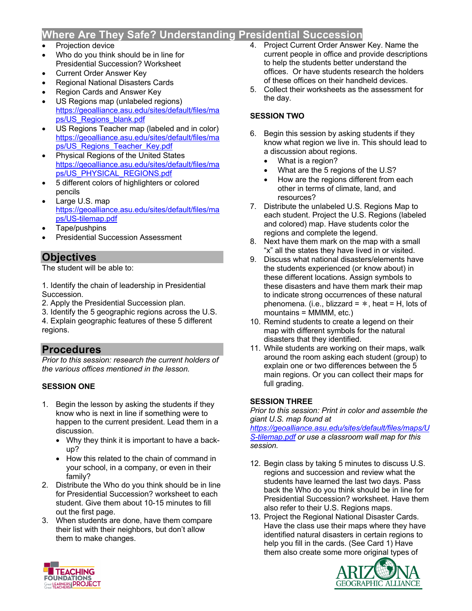# **Where Are They Safe? Understanding Presidential Succession**

- Projection device
- Who do you think should be in line for Presidential Succession? Worksheet
- Current Order Answer Key
- Regional National Disasters Cards
- Region Cards and Answer Key
- US Regions map (unlabeled regions) https://geoalliance.asu.edu/sites/default/files/ma ps/US\_Regions\_blank.pdf
- US Regions Teacher map (labeled and in color) https://geoalliance.asu.edu/sites/default/files/ma ps/US\_Regions\_Teacher\_Key.pdf
- Physical Regions of the United States https://geoalliance.asu.edu/sites/default/files/ma ps/US\_PHYSICAL\_REGIONS.pdf
- 5 different colors of highlighters or colored pencils
- Large U.S. map https://geoalliance.asu.edu/sites/default/files/ma ps/US-tilemap.pdf
- Tape/pushpins
- Presidential Succession Assessment

# **Objectives**

The student will be able to:

1. Identify the chain of leadership in Presidential Succession.

- 2. Apply the Presidential Succession plan.
- 3. Identify the 5 geographic regions across the U.S. 4. Explain geographic features of these 5 different

regions.

### **Procedures**

*Prior to this session: research the current holders of the various offices mentioned in the lesson.*

### **SESSION ONE**

- 1. Begin the lesson by asking the students if they know who is next in line if something were to happen to the current president. Lead them in a discussion.
	- Why they think it is important to have a backup?
	- How this related to the chain of command in your school, in a company, or even in their family?
- 2. Distribute the Who do you think should be in line for Presidential Succession? worksheet to each student. Give them about 10-15 minutes to fill out the first page.
- 3. When students are done, have them compare their list with their neighbors, but don't allow them to make changes.
- 4. Project Current Order Answer Key. Name the current people in office and provide descriptions to help the students better understand the offices. Or have students research the holders of these offices on their handheld devices.
- 5. Collect their worksheets as the assessment for the day.

### **SESSION TWO**

- 6. Begin this session by asking students if they know what region we live in. This should lead to a discussion about regions.
	- What is a region?
	- What are the 5 regions of the U.S?
	- How are the regions different from each other in terms of climate, land, and resources?
- 7. Distribute the unlabeled U.S. Regions Map to each student. Project the U.S. Regions (labeled and colored) map. Have students color the regions and complete the legend.
- 8. Next have them mark on the map with a small "x" all the states they have lived in or visited.
- 9. Discuss what national disasters/elements have the students experienced (or know about) in these different locations. Assign symbols to these disasters and have them mark their map to indicate strong occurrences of these natural phenomena. (i.e., blizzard =  $*$ , heat = H, lots of mountains = MMMM, etc.)
- 10. Remind students to create a legend on their map with different symbols for the natural disasters that they identified.
- 11. While students are working on their maps, walk around the room asking each student (group) to explain one or two differences between the 5 main regions. Or you can collect their maps for full grading.

### **SESSION THREE**

*Prior to this session: Print in color and assemble the giant U.S. map found at* 

*https://geoalliance.asu.edu/sites/default/files/maps/U S-tilemap.pdf or use a classroom wall map for this session.*

- 12. Begin class by taking 5 minutes to discuss U.S. regions and succession and review what the students have learned the last two days. Pass back the Who do you think should be in line for Presidential Succession? worksheet. Have them also refer to their U.S. Regions maps.
- 13. Project the Regional National Disaster Cards. Have the class use their maps where they have identified natural disasters in certain regions to help you fill in the cards. (See Card 1) Have them also create some more original types of